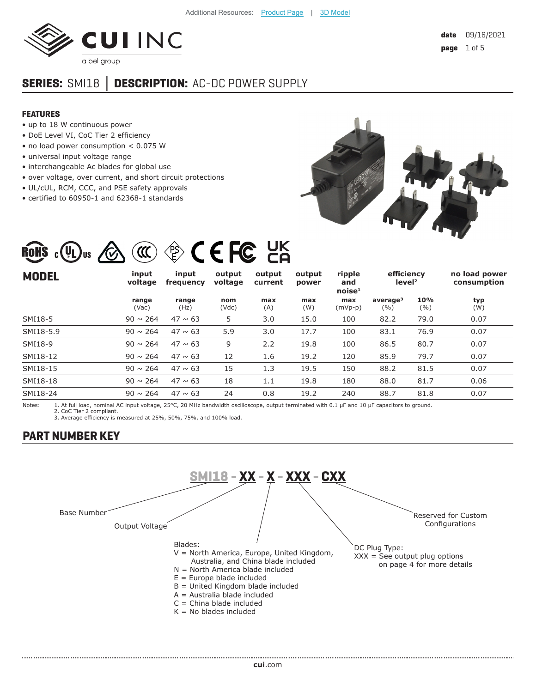

# **SERIES:** SMI18 **│ DESCRIPTION:** AC-DC POWER SUPPLY

#### **FEATURES**

- up to 18 W continuous power
- DoE Level VI, CoC Tier 2 efficiency
- no load power consumption < 0.075 W
- universal input voltage range
- interchangeable Ac blades for global use
- over voltage, over current, and short circuit protections
- UL/cUL, RCM, CCC, and PSE safety approvals
- certified to 60950-1 and 62368-1 standards



# ROHS : 4 U Us A (III) 43 C E FC HK

| <b>MODEL</b> | input<br>voltage | input<br>frequency | output<br>voltage | output<br>current | output<br>power | ripple<br>and<br>noise <sup>1</sup> | efficiency<br>level <sup>2</sup> |            | no load power<br>consumption |
|--------------|------------------|--------------------|-------------------|-------------------|-----------------|-------------------------------------|----------------------------------|------------|------------------------------|
|              | range<br>(Vac)   | range<br>(Hz)      | nom<br>(Vdc)      | max<br>(A)        | max<br>(W)      | max<br>$(mVp-p)$                    | average <sup>3</sup><br>(%)      | 10%<br>(%) | typ<br>(W)                   |
| SMI18-5      | $90 \sim 264$    | $47 \sim 63$       | 5                 | 3.0               | 15.0            | 100                                 | 82.2                             | 79.0       | 0.07                         |
| SMI18-5.9    | $90 \sim 264$    | $47 \sim 63$       | 5.9               | 3.0               | 17.7            | 100                                 | 83.1                             | 76.9       | 0.07                         |
| SMI18-9      | $90 \sim 264$    | $47 \sim 63$       | 9                 | 2.2               | 19.8            | 100                                 | 86.5                             | 80.7       | 0.07                         |
| SMI18-12     | $90 \sim 264$    | $47 \sim 63$       | 12                | 1.6               | 19.2            | 120                                 | 85.9                             | 79.7       | 0.07                         |
| SMI18-15     | $90 \sim 264$    | $47 \sim 63$       | 15                | 1.3               | 19.5            | 150                                 | 88.2                             | 81.5       | 0.07                         |
| SMI18-18     | $90 \sim 264$    | $47 \sim 63$       | 18                | 1.1               | 19.8            | 180                                 | 88.0                             | 81.7       | 0.06                         |
| SMI18-24     | $90 \sim 264$    | $47 \sim 63$       | 24                | 0.8               | 19.2            | 240                                 | 88.7                             | 81.8       | 0.07                         |

Notes: 1. At full load, nominal AC input voltage, 25°C, 20 MHz bandwidth oscilloscope, output terminated with 0.1 µF and 10 µF capacitors to ground. 2. CoC Tier 2 compliant.

3. Average efficiency is measured at 25%, 50%, 75%, and 100% load.

#### **PART NUMBER KEY**

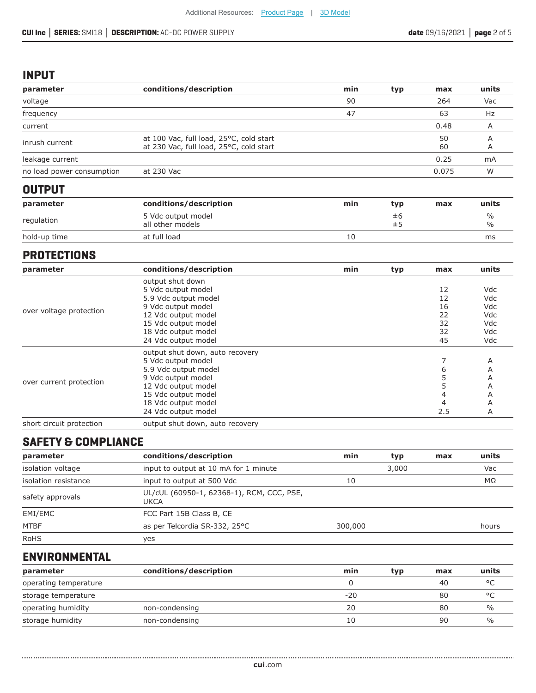#### **INPUT**

| conditions/description                                                             | min | typ | max      | units |
|------------------------------------------------------------------------------------|-----|-----|----------|-------|
|                                                                                    | 90  |     | 264      | Vac   |
|                                                                                    | 47  |     | 63       | Hz    |
|                                                                                    |     |     | 0.48     | A     |
| at 100 Vac, full load, 25°C, cold start<br>at 230 Vac, full load, 25°C, cold start |     |     | 50<br>60 | A     |
|                                                                                    |     |     | 0.25     | mA    |
| at 230 Vac                                                                         |     |     | 0.075    | W     |
|                                                                                    |     |     |          |       |

# **OUTPUT**

| parameter    | conditions/description                 | min | tvp      | max | units     |
|--------------|----------------------------------------|-----|----------|-----|-----------|
| regulation   | 5 Vdc output model<br>all other models |     | Ξb<br>±5 |     | %<br>$\%$ |
| hold-up time | at full load                           |     |          |     | ms        |

#### **PROTECTIONS**

| parameter                | conditions/description          | min | typ | max | units |
|--------------------------|---------------------------------|-----|-----|-----|-------|
|                          | output shut down                |     |     |     |       |
| over voltage protection  | 5 Vdc output model              |     |     | 12  | Vdc   |
|                          | 5.9 Vdc output model            |     |     | 12  | Vdc   |
|                          | 9 Vdc output model              |     |     | 16  | Vdc   |
|                          | 12 Vdc output model             |     |     | 22  | Vdc   |
|                          | 15 Vdc output model             |     |     | 32  | Vdc   |
|                          | 18 Vdc output model             |     |     | 32  | Vdc   |
|                          | 24 Vdc output model             |     |     | 45  | Vdc   |
|                          | output shut down, auto recovery |     |     |     |       |
|                          | 5 Vdc output model              |     |     |     | Α     |
|                          | 5.9 Vdc output model            |     |     | 6   | A     |
|                          | 9 Vdc output model              |     |     |     | A     |
| over current protection  | 12 Vdc output model             |     |     | 5   | A     |
|                          | 15 Vdc output model             |     |     | 4   | A     |
|                          | 18 Vdc output model             |     |     | 4   | A     |
|                          | 24 Vdc output model             |     |     | 2.5 | A     |
| short circuit protection | output shut down, auto recovery |     |     |     |       |

# **SAFETY & COMPLIANCE**

| parameter            | conditions/description                            | min     | typ | max | units |
|----------------------|---------------------------------------------------|---------|-----|-----|-------|
| isolation voltage    | input to output at 10 mA for 1 minute             |         |     | Vac |       |
| isolation resistance | input to output at 500 Vdc                        | 10      |     | MΩ  |       |
| safety approvals     | UL/cUL (60950-1, 62368-1), RCM, CCC, PSE,<br>UKCA |         |     |     |       |
| EMI/EMC              | FCC Part 15B Class B, CE                          |         |     |     |       |
| <b>MTBF</b>          | as per Telcordia SR-332, 25°C                     | 300,000 |     |     | hours |
| <b>RoHS</b>          | yes                                               |         |     |     |       |

# **ENVIRONMENTAL**

| parameter             | conditions/description | min   | typ | max | units         |
|-----------------------|------------------------|-------|-----|-----|---------------|
| operating temperature |                        |       |     | 40  | $\circ$       |
| storage temperature   |                        | $-20$ |     | 80  | $\circ$       |
| operating humidity    | non-condensing         | 20    |     | 80  | $\frac{0}{0}$ |
| storage humidity      | non-condensing         | 10    |     | 90  | $\%$          |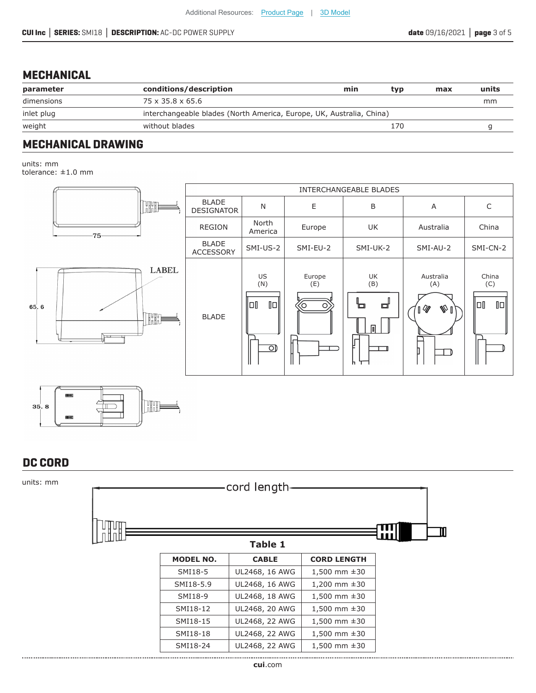#### **MECHANICAL**

| conditions/description | min | tvp | max                                                                  | units |
|------------------------|-----|-----|----------------------------------------------------------------------|-------|
| 75 x 35.8 x 65.6       |     |     |                                                                      | mm    |
|                        |     |     |                                                                      |       |
| without blades         |     | 170 |                                                                      |       |
|                        |     |     | interchangeable blades (North America, Europe, UK, Australia, China) |       |

## **MECHANICAL DRAWING**

units: mm

tolerance: ±1.0 mm



# **DC CORD**

| units: mm |      | cord length-     |                |                     |   |
|-----------|------|------------------|----------------|---------------------|---|
|           | UДOД |                  |                |                     | Ш |
|           |      |                  | <b>Table 1</b> |                     | ш |
|           |      | <b>MODEL NO.</b> | <b>CABLE</b>   | <b>CORD LENGTH</b>  |   |
|           |      | SMI18-5          | UL2468, 16 AWG | 1,500 mm $\pm 30$   |   |
|           |      | SMI18-5.9        | UL2468, 16 AWG | 1,200 mm $\pm$ 30   |   |
|           |      | SMI18-9          | UL2468, 18 AWG | $1,500$ mm $\pm 30$ |   |
|           |      | SMI18-12         | UL2468, 20 AWG | 1,500 mm $\pm$ 30   |   |
|           |      | SMI18-15         | UL2468, 22 AWG | $1,500$ mm $\pm 30$ |   |
|           |      | SMI18-18         | UL2468, 22 AWG | $1,500$ mm $\pm 30$ |   |
|           |      | SMI18-24         | UL2468, 22 AWG | $1,500$ mm $\pm 30$ |   |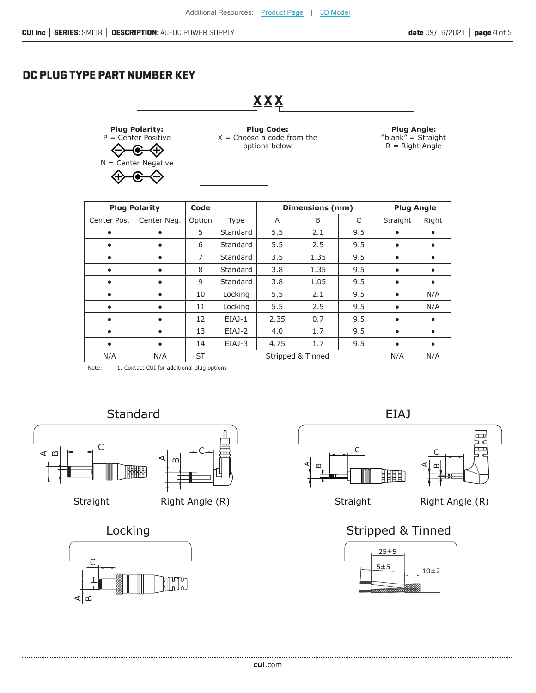# **DC PLUG TYPE PART NUMBER KEY**

|                                                                                                                                                                                                                |                      |                |          | XXX  |                   |     |           |                   |
|----------------------------------------------------------------------------------------------------------------------------------------------------------------------------------------------------------------|----------------------|----------------|----------|------|-------------------|-----|-----------|-------------------|
| <b>Plug Polarity:</b><br><b>Plug Code:</b><br><b>Plug Angle:</b><br>$P =$ Center Positive<br>$X =$ Choose a code from the<br>"blank" = Straight<br>options below<br>$R =$ Right Angle<br>$N =$ Center Negative |                      |                |          |      |                   |     |           |                   |
|                                                                                                                                                                                                                | <b>Plug Polarity</b> | Code           |          |      | Dimensions (mm)   |     |           | <b>Plug Angle</b> |
| Center Pos.                                                                                                                                                                                                    | Center Neg.          | Option         | Type     | A    | B                 | C   | Straight  | Right             |
|                                                                                                                                                                                                                |                      | 5              | Standard | 5.5  | 2.1               | 9.5 |           |                   |
|                                                                                                                                                                                                                |                      | 6              | Standard | 5.5  | 2.5               | 9.5 | $\bullet$ | $\bullet$         |
|                                                                                                                                                                                                                |                      | $\overline{7}$ | Standard | 3.5  | 1.35              | 9.5 | ٠         | $\bullet$         |
| $\bullet$                                                                                                                                                                                                      |                      | 8              | Standard | 3.8  | 1.35              | 9.5 | $\bullet$ | $\bullet$         |
|                                                                                                                                                                                                                |                      | 9              | Standard | 3.8  | 1.05              | 9.5 | ٠         | $\bullet$         |
| ٠                                                                                                                                                                                                              |                      | 10             | Locking  | 5.5  | 2.1               | 9.5 | $\bullet$ | N/A               |
| $\bullet$                                                                                                                                                                                                      |                      | 11             | Locking  | 5.5  | 2.5               | 9.5 | $\bullet$ | N/A               |
|                                                                                                                                                                                                                |                      | 12             | EIAJ-1   | 2.35 | 0.7               | 9.5 | ٠         | $\bullet$         |
| $\bullet$                                                                                                                                                                                                      | $\bullet$            | 13             | EIAJ-2   | 4.0  | 1.7               | 9.5 | $\bullet$ | $\bullet$         |
|                                                                                                                                                                                                                |                      | 14             | EIAJ-3   | 4.75 | 1.7               | 9.5 | $\bullet$ | $\bullet$         |
| N/A                                                                                                                                                                                                            | N/A                  | <b>ST</b>      |          |      | Stripped & Tinned |     | N/A       | N/A               |

Note: 1. Contact CUI for additional plug options





......................







# Locking **Stripped & Tinned**